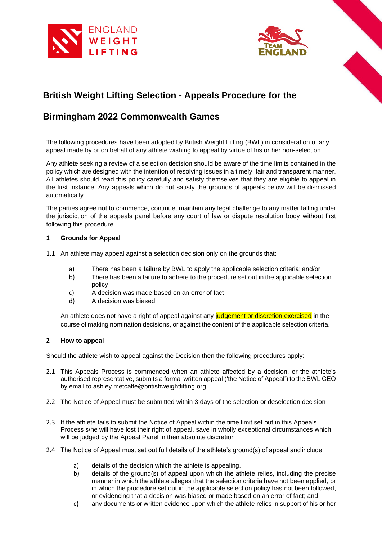



 $\blacklozenge$ 

# **British Weight Lifting Selection - Appeals Procedure for the**

# **Birmingham 2022 Commonwealth Games**

The following procedures have been adopted by British Weight Lifting (BWL) in consideration of any appeal made by or on behalf of any athlete wishing to appeal by virtue of his or her non-selection.

Any athlete seeking a review of a selection decision should be aware of the time limits contained in the policy which are designed with the intention of resolving issues in a timely, fair and transparent manner. All athletes should read this policy carefully and satisfy themselves that they are eligible to appeal in the first instance. Any appeals which do not satisfy the grounds of appeals below will be dismissed automatically.

The parties agree not to commence, continue, maintain any legal challenge to any matter falling under the jurisdiction of the appeals panel before any court of law or dispute resolution body without first following this procedure.

## **1 Grounds for Appeal**

- 1.1 An athlete may appeal against a selection decision only on the grounds that:
	- a) There has been a failure by BWL to apply the applicable selection criteria; and/or
	- b) There has been a failure to adhere to the procedure set out in the applicable selection policy
	- c) A decision was made based on an error of fact
	- d) A decision was biased

An athlete does not have a right of appeal against any judgement or discretion exercised in the course of making nomination decisions, or against the content of the applicable selection criteria.

### **2 How to appeal**

Should the athlete wish to appeal against the Decision then the following procedures apply:

- 2.1 This Appeals Process is commenced when an athlete affected by a decision, or the athlete's authorised representative, submits a formal written appeal ('the Notice of Appeal') to the BWL CEO by email to [ashley.metcalfe@britishweightlifting.org](mailto:ashley.metcalfe@britishweightlifting.org)
- 2.2 The Notice of Appeal must be submitted within 3 days of the selection or deselection decision
- 2.3 If the athlete fails to submit the Notice of Appeal within the time limit set out in this Appeals Process s/he will have lost their right of appeal, save in wholly exceptional circumstances which will be judged by the Appeal Panel in their absolute discretion
- 2.4 The Notice of Appeal must set out full details of the athlete's ground(s) of appeal andinclude:
	- a) details of the decision which the athlete is appealing.
	- b) details of the ground(s) of appeal upon which the athlete relies, including the precise manner in which the athlete alleges that the selection criteria have not been applied, or in which the procedure set out in the applicable selection policy has not been followed, or evidencing that a decision was biased or made based on an error of fact; and
	- c) any documents or written evidence upon which the athlete relies in support of his or her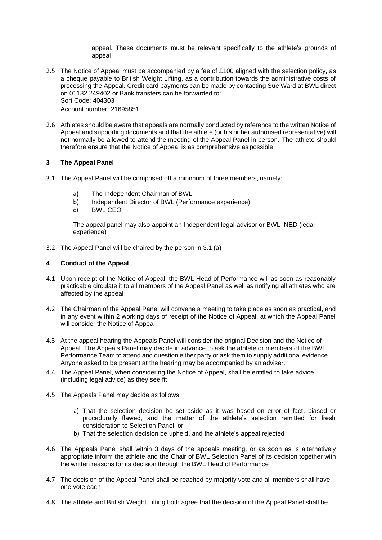appeal. These documents must be relevant specifically to the athlete's grounds of appeal

2.5 The Notice of Appeal must be accompanied by a fee of £100 aligned with the selection policy, as a cheque payable to British Weight Lifting, as a contribution towards the administrative costs of processing the Appeal. Credit card payments can be made by contacting Sue Ward at BWL direct on 01132 249402 or Bank transfers can be forwarded to: Sort Code: 404303

Account number: 21695851

2.6 Athletes should be aware that appeals are normally conducted by reference to the written Notice of Appeal and supporting documents and that the athlete (or his or her authorised representative) will not normally be allowed to attend the meeting of the Appeal Panel in person. The athlete should therefore ensure that the Notice of Appeal is as comprehensive as possible

#### **3 The Appeal Panel**

- 3.1 The Appeal Panel will be composed off a minimum of three members, namely:
	- a) The Independent Chairman of BWL
	- b) Independent Director of BWL (Performance experience)
	- c) BWL CEO

The appeal panel may also appoint an Independent legal advisor or BWL INED (legal experience)

3.2 The Appeal Panel will be chaired by the person in 3.1 (a)

#### **4 Conduct of the Appeal**

- 4.1 Upon receipt of the Notice of Appeal, the BWL Head of Performance will as soon as reasonably practicable circulate it to all members of the Appeal Panel as well as notifying all athletes who are affected by the appeal
- 4.2 The Chairman of the Appeal Panel will convene a meeting to take place as soon as practical, and in any event within 2 working days of receipt of the Notice of Appeal, at which the Appeal Panel will consider the Notice of Appeal
- 4.3 At the appeal hearing the Appeals Panel will consider the original Decision and the Notice of Appeal. The Appeals Panel may decide in advance to ask the athlete or members of the BWL Performance Team to attend and question either party or ask them to supply additional evidence. Anyone asked to be present at the hearing may be accompanied by an adviser.
- 4.4 The Appeal Panel, when considering the Notice of Appeal, shall be entitled to take advice (including legal advice) as they see fit
- 4.5 The Appeals Panel may decide as follows:
	- a) That the selection decision be set aside as it was based on error of fact, biased or procedurally flawed, and the matter of the athlete's selection remitted for fresh consideration to Selection Panel; or
	- b) That the selection decision be upheld, and the athlete's appeal rejected
- 4.6 The Appeals Panel shall within 3 days of the appeals meeting, or as soon as is alternatively appropriate inform the athlete and the Chair of BWL Selection Panel of its decision together with the written reasons for its decision through the BWL Head of Performance
- 4.7 The decision of the Appeal Panel shall be reached by majority vote and all members shall have one vote each
- 4.8 The athlete and British Weight Lifting both agree that the decision of the Appeal Panel shall be